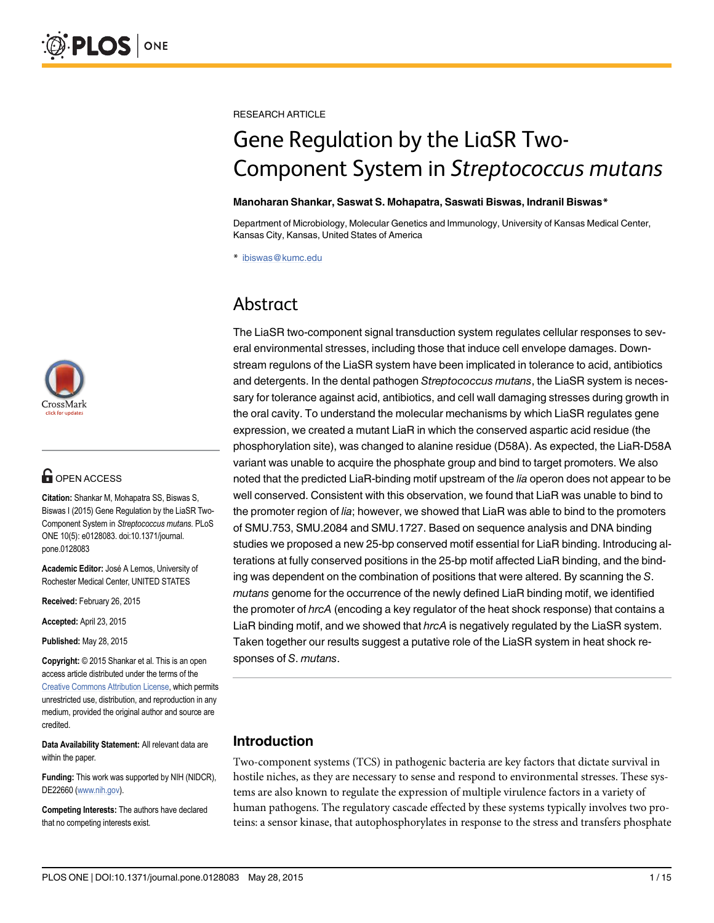

# **G** OPEN ACCESS

Citation: Shankar M, Mohapatra SS, Biswas S, Biswas I (2015) Gene Regulation by the LiaSR Two-Component System in Streptococcus mutans. PLoS ONE 10(5): e0128083. doi:10.1371/journal. pone.0128083

Academic Editor: José A Lemos, University of Rochester Medical Center, UNITED STATES

Received: February 26, 2015

Accepted: April 23, 2015

Published: May 28, 2015

Copyright: © 2015 Shankar et al. This is an open access article distributed under the terms of the Creative Commons Attribution License, which permits unrestricted use, distribution, and reproduction in any medium, provided the original author and source are credited.

Data Availability Statement: All relevant data are within the paper.

Funding: This work was supported by NIH (NIDCR), DE22660 (www.nih.gov).

Competing Interests: The authors have declared that no competing interests exist.

RESEARCH ARTICLE

# Gene Regulation by the LiaSR Two-Component System in Streptococcus mutans

#### Manoharan Shankar, Saswat S. Mohapatra, Saswati Biswas, Indranil Biswas\*

Department of Microbiology, Molecular Genetics and Immunology, University of Kansas Medical Center, Kansas City, Kansas, United States of America

\* ibiswas@kumc.edu

# Abstract

The LiaSR two-component signal transduction system regulates cellular responses to several environmental stresses, including those that induce cell envelope damages. Downstream regulons of the LiaSR system have been implicated in tolerance to acid, antibiotics and detergents. In the dental pathogen Streptococcus mutans, the LiaSR system is necessary for tolerance against acid, antibiotics, and cell wall damaging stresses during growth in the oral cavity. To understand the molecular mechanisms by which LiaSR regulates gene expression, we created a mutant LiaR in which the conserved aspartic acid residue (the phosphorylation site), was changed to alanine residue (D58A). As expected, the LiaR-D58A variant was unable to acquire the phosphate group and bind to target promoters. We also noted that the predicted LiaR-binding motif upstream of the lia operon does not appear to be well conserved. Consistent with this observation, we found that LiaR was unable to bind to the promoter region of lia; however, we showed that LiaR was able to bind to the promoters of SMU.753, SMU.2084 and SMU.1727. Based on sequence analysis and DNA binding studies we proposed a new 25-bp conserved motif essential for LiaR binding. Introducing alterations at fully conserved positions in the 25-bp motif affected LiaR binding, and the binding was dependent on the combination of positions that were altered. By scanning the S. mutans genome for the occurrence of the newly defined LiaR binding motif, we identified the promoter of hrcA (encoding a key regulator of the heat shock response) that contains a LiaR binding motif, and we showed that hrcA is negatively regulated by the LiaSR system. Taken together our results suggest a putative role of the LiaSR system in heat shock responses of S. mutans.

#### Introduction

Two-component systems (TCS) in pathogenic bacteria are key factors that dictate survival in hostile niches, as they are necessary to sense and respond to environmental stresses. These systems are also known to regulate the expression of multiple virulence factors in a variety of human pathogens. The regulatory cascade effected by these systems typically involves two proteins: a sensor kinase, that autophosphorylates in response to the stress and transfers phosphate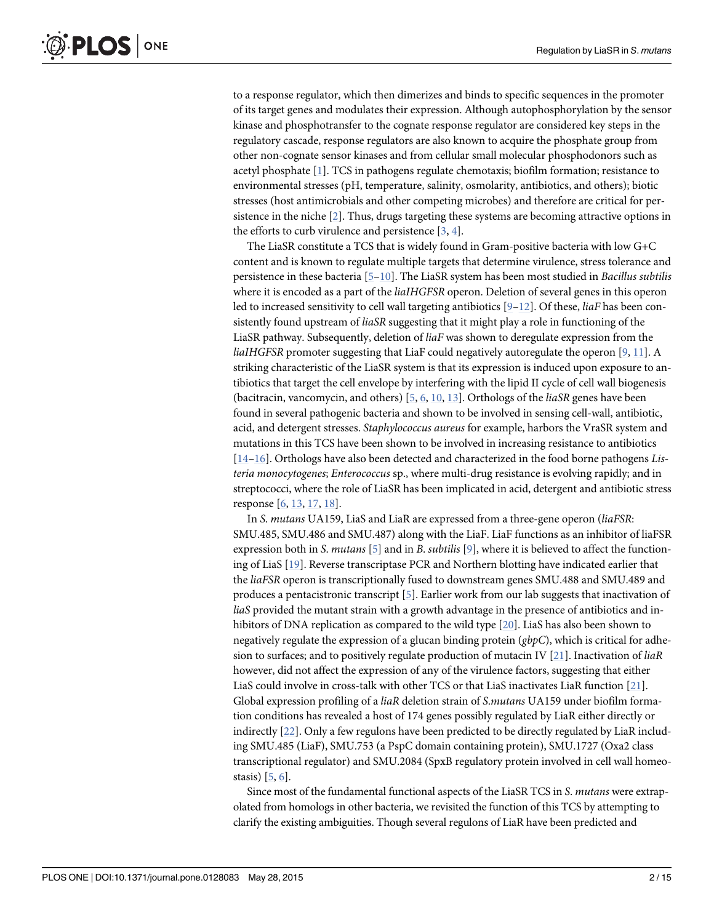to a response regulator, which then dimerizes and binds to specific sequences in the promoter of its target genes and modulates their expression. Although autophosphorylation by the sensor kinase and phosphotransfer to the cognate response regulator are considered key steps in the regulatory cascade, response regulators are also known to acquire the phosphate group from other non-cognate sensor kinases and from cellular small molecular phosphodonors such as acetyl phosphate [1]. TCS in pathogens regulate chemotaxis; biofilm formation; resistance to environmental stresses (pH, temperature, salinity, osmolarity, antibiotics, and others); biotic stresses (host antimicrobials and other competing microbes) and therefore are critical for persistence in the niche [2]. Thus, drugs targeting these systems are becoming attractive options in the efforts to curb virulence and persistence  $[3, 4]$ .

The LiaSR constitute a TCS that is widely found in Gram-positive bacteria with low G+C content and is known to regulate multiple targets that determine virulence, stress tolerance and persistence in these bacteria [5–10]. The LiaSR system has been most studied in Bacillus subtilis where it is encoded as a part of the *liaIHGFSR* operon. Deletion of several genes in this operon led to increased sensitivity to cell wall targeting antibiotics  $[9-12]$ . Of these, *liaF* has been consistently found upstream of *liaSR* suggesting that it might play a role in functioning of the LiaSR pathway. Subsequently, deletion of liaF was shown to deregulate expression from the liaIHGFSR promoter suggesting that LiaF could negatively autoregulate the operon [9, 11]. A striking characteristic of the LiaSR system is that its expression is induced upon exposure to antibiotics that target the cell envelope by interfering with the lipid II cycle of cell wall biogenesis (bacitracin, vancomycin, and others) [5, 6, 10, 13]. Orthologs of the liaSR genes have been found in several pathogenic bacteria and shown to be involved in sensing cell-wall, antibiotic, acid, and detergent stresses. Staphylococcus aureus for example, harbors the VraSR system and mutations in this TCS have been shown to be involved in increasing resistance to antibiotics [14–16]. Orthologs have also been detected and characterized in the food borne pathogens Listeria monocytogenes; Enterococcus sp., where multi-drug resistance is evolving rapidly; and in streptococci, where the role of LiaSR has been implicated in acid, detergent and antibiotic stress response [6, 13, 17, 18].

In S. mutans UA159, LiaS and LiaR are expressed from a three-gene operon (liaFSR: SMU.485, SMU.486 and SMU.487) along with the LiaF. LiaF functions as an inhibitor of liaFSR expression both in S. mutans [5] and in B. subtilis [9], where it is believed to affect the functioning of LiaS [19]. Reverse transcriptase PCR and Northern blotting have indicated earlier that the liaFSR operon is transcriptionally fused to downstream genes SMU.488 and SMU.489 and produces a pentacistronic transcript [5]. Earlier work from our lab suggests that inactivation of liaS provided the mutant strain with a growth advantage in the presence of antibiotics and inhibitors of DNA replication as compared to the wild type [20]. LiaS has also been shown to negatively regulate the expression of a glucan binding protein  $(gbpC)$ , which is critical for adhesion to surfaces; and to positively regulate production of mutacin IV [21]. Inactivation of  $li aR$ however, did not affect the expression of any of the virulence factors, suggesting that either LiaS could involve in cross-talk with other TCS or that LiaS inactivates LiaR function [21]. Global expression profiling of a *liaR* deletion strain of *S.mutans* UA159 under biofilm formation conditions has revealed a host of 174 genes possibly regulated by LiaR either directly or indirectly [22]. Only a few regulons have been predicted to be directly regulated by LiaR including SMU.485 (LiaF), SMU.753 (a PspC domain containing protein), SMU.1727 (Oxa2 class transcriptional regulator) and SMU.2084 (SpxB regulatory protein involved in cell wall homeostasis) [5, 6].

Since most of the fundamental functional aspects of the LiaSR TCS in S. mutans were extrapolated from homologs in other bacteria, we revisited the function of this TCS by attempting to clarify the existing ambiguities. Though several regulons of LiaR have been predicted and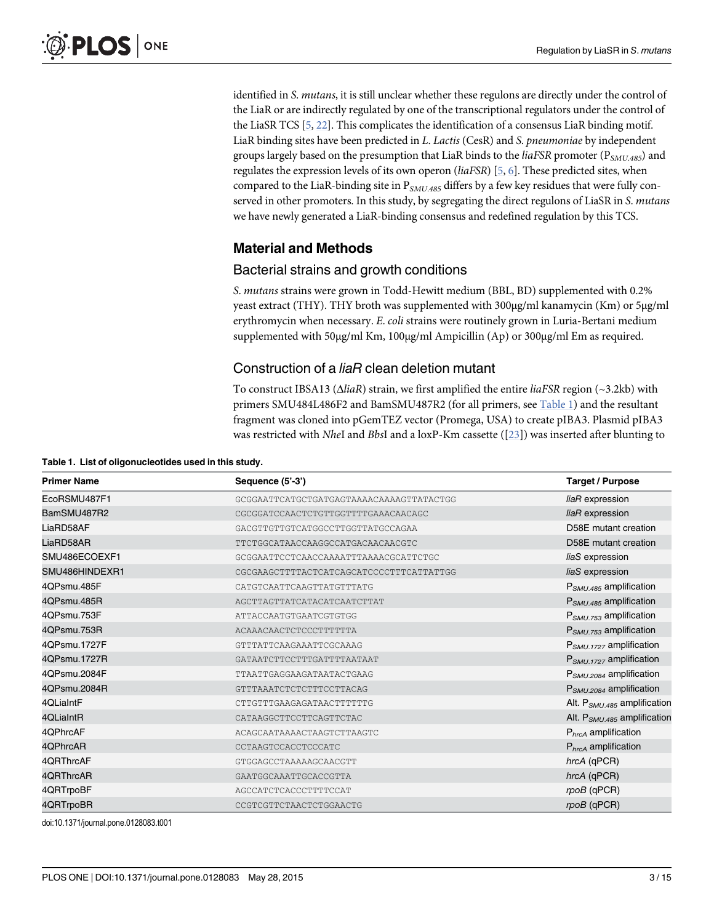identified in S. mutans, it is still unclear whether these regulons are directly under the control of the LiaR or are indirectly regulated by one of the transcriptional regulators under the control of the LiaSR TCS  $[5, 22]$ . This complicates the identification of a consensus LiaR binding motif. LiaR binding sites have been predicted in L. Lactis (CesR) and S. pneumoniae by independent groups largely based on the presumption that LiaR binds to the *liaFSR* promoter ( $P_{SMU,485}$ ) and regulates the expression levels of its own operon ( $liafSR$ ) [5, 6]. These predicted sites, when compared to the LiaR-binding site in  $P_{SMU.485}$  differs by a few key residues that were fully conserved in other promoters. In this study, by segregating the direct regulons of LiaSR in S. mutans we have newly generated a LiaR-binding consensus and redefined regulation by this TCS.

#### Material and Methods

#### Bacterial strains and growth conditions

S. mutans strains were grown in Todd-Hewitt medium (BBL, BD) supplemented with 0.2% yeast extract (THY). THY broth was supplemented with 300μg/ml kanamycin (Km) or 5μg/ml erythromycin when necessary. E. coli strains were routinely grown in Luria-Bertani medium supplemented with 50μg/ml Km, 100μg/ml Ampicillin (Ap) or 300μg/ml Em as required.

#### Construction of a liaR clean deletion mutant

To construct IBSA13 (ΔliaR) strain, we first amplified the entire liaFSR region (~3.2kb) with primers SMU484L486F2 and BamSMU487R2 (for all primers, see Table 1) and the resultant fragment was cloned into pGemTEZ vector (Promega, USA) to create pIBA3. Plasmid pIBA3 was restricted with NheI and BbsI and a loxP-Km cassette ([23]) was inserted after blunting to

| <b>Primer Name</b> | Sequence (5'-3')                         | <b>Target / Purpose</b>                 |
|--------------------|------------------------------------------|-----------------------------------------|
| EcoRSMU487F1       | GCGGAATTCATGCTGATGAGTAAAACAAAAGTTATACTGG | liaR expression                         |
| BamSMU487R2        | CGCGGATCCAACTCTGTTGGTTTTGAAACAACAGC      | liaR expression                         |
| LiaRD58AF          | GACGTTGTTGTCATGGCCTTGGTTATGCCAGAA        | D58E mutant creation                    |
| LiaRD58AR          | TTCTGGCATAACCAAGGCCATGACAACAACGTC        | D58E mutant creation                    |
| SMU486ECOEXF1      | GCGGAATTCCTCAACCAAAATTTAAAACGCATTCTGC    | liaS expression                         |
| SMU486HINDEXR1     | CGCGAAGCTTTTACTCATCAGCATCCCCTTTCATTATTGG | liaS expression                         |
| 4QPsmu.485F        | CATGTCAATTCAAGTTATGTTTATG                | $P_{SMU.485}$ amplification             |
| 4QPsmu.485R        | AGCTTAGTTATCATACATCAATCTTAT              | P <sub>SMU.485</sub> amplification      |
| 4QPsmu.753F        | ATTACCAATGTGAATCGTGTGG                   | $P_{SMU.753}$ amplification             |
| 4QPsmu.753R        | ACAAACAACTCTCCCTTTTTTA                   | $P_{SMU,753}$ amplification             |
| 4QPsmu.1727F       | GTTTATTCAAGAAATTCGCAAAG                  | P <sub>SMU.1727</sub> amplification     |
| 4QPsmu.1727R       | GATAATCTTCCTTTGATTTTAATAAT               | $P_{SMU.1727}$ amplification            |
| 4QPsmu.2084F       | TTAATTGAGGAAGATAATACTGAAG                | P <sub>SMU.2084</sub> amplification     |
| 4QPsmu.2084R       | GTTTAAATCTCTCTTTCCTTACAG                 | P <sub>SMU.2084</sub> amplification     |
| 4QLiaIntF          | CTTGTTTGAAGAGATAACTTTTTTG                | Alt. P <sub>SMU.485</sub> amplification |
| 4QLiaIntR          | CATAAGGCTTCCTTCAGTTCTAC                  | Alt. $P_{SMU.485}$ amplification        |
| 4QPhrcAF           | ACAGCAATAAAACTAAGTCTTAAGTC               | $PhrcA$ amplification                   |
| 4QPhrcAR           | CCTAAGTCCACCTCCCATC                      | $PhrcA$ amplification                   |
| 4QRThrcAF          | GTGGAGCCTAAAAAGCAACGTT                   | hrcA (qPCR)                             |
| 4QRThrcAR          | GAATGGCAAATTGCACCGTTA                    | hrcA (qPCR)                             |
| 4QRTrpoBF          | AGCCATCTCACCCTTTTCCAT                    | rpoB (qPCR)                             |
| 4QRTrpoBR          | CCGTCGTTCTAACTCTGGAACTG                  | rpoB (qPCR)                             |

Table 1. List of oligonucleotides used in this study.

doi:10.1371/journal.pone.0128083.t001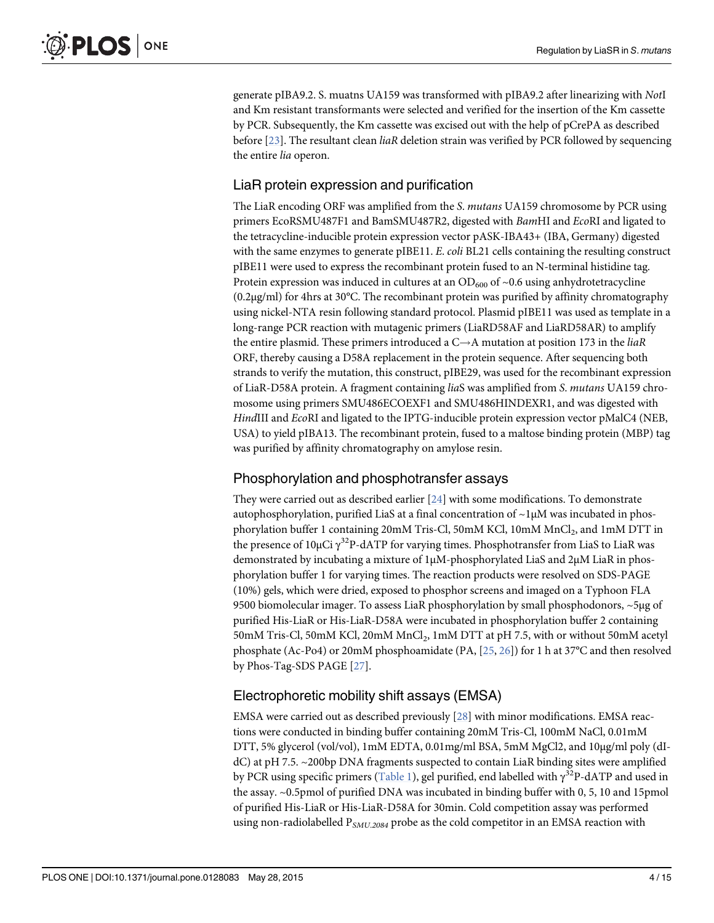generate pIBA9.2. S. muatns UA159 was transformed with pIBA9.2 after linearizing with NotI and Km resistant transformants were selected and verified for the insertion of the Km cassette by PCR. Subsequently, the Km cassette was excised out with the help of pCrePA as described before  $[23]$ . The resultant clean *liaR* deletion strain was verified by PCR followed by sequencing the entire lia operon.

# LiaR protein expression and purification

The LiaR encoding ORF was amplified from the S. mutans UA159 chromosome by PCR using primers EcoRSMU487F1 and BamSMU487R2, digested with BamHI and EcoRI and ligated to the tetracycline-inducible protein expression vector pASK-IBA43+ (IBA, Germany) digested with the same enzymes to generate pIBE11. E. *coli* BL21 cells containing the resulting construct pIBE11 were used to express the recombinant protein fused to an N-terminal histidine tag. Protein expression was induced in cultures at an  $OD_{600}$  of  $~0.6$  using anhydrotetracycline (0.2μg/ml) for 4hrs at 30°C. The recombinant protein was purified by affinity chromatography using nickel-NTA resin following standard protocol. Plasmid pIBE11 was used as template in a long-range PCR reaction with mutagenic primers (LiaRD58AF and LiaRD58AR) to amplify the entire plasmid. These primers introduced a  $C \rightarrow A$  mutation at position 173 in the *liaR* ORF, thereby causing a D58A replacement in the protein sequence. After sequencing both strands to verify the mutation, this construct, pIBE29, was used for the recombinant expression of LiaR-D58A protein. A fragment containing liaS was amplified from S. mutans UA159 chromosome using primers SMU486ECOEXF1 and SMU486HINDEXR1, and was digested with HindIII and EcoRI and ligated to the IPTG-inducible protein expression vector pMalC4 (NEB, USA) to yield pIBA13. The recombinant protein, fused to a maltose binding protein (MBP) tag was purified by affinity chromatography on amylose resin.

#### Phosphorylation and phosphotransfer assays

They were carried out as described earlier  $[24]$  with some modifications. To demonstrate autophosphorylation, purified LiaS at a final concentration of  $\sim$ 1 $\mu$ M was incubated in phosphorylation buffer 1 containing 20mM Tris-Cl, 50mM KCl, 10mM MnCl<sub>2</sub>, and 1mM DTT in the presence of 10μCi  $\gamma^{32}$ P-dATP for varying times. Phosphotransfer from LiaS to LiaR was demonstrated by incubating a mixture of 1μM-phosphorylated LiaS and 2μM LiaR in phosphorylation buffer 1 for varying times. The reaction products were resolved on SDS-PAGE (10%) gels, which were dried, exposed to phosphor screens and imaged on a Typhoon FLA 9500 biomolecular imager. To assess LiaR phosphorylation by small phosphodonors, ~5μg of purified His-LiaR or His-LiaR-D58A were incubated in phosphorylation buffer 2 containing  $50\mathrm{mM}$  Tris-Cl,  $50\mathrm{mM}$  KCl,  $20\mathrm{mM}$   $\mathrm{MnCl}_2$ ,  $1\mathrm{mM}$  DTT at pH 7.5, with or without  $50\mathrm{mM}$  acetyl phosphate (Ac-Po4) or 20mM phosphoamidate (PA, [25, 26]) for 1 h at 37°C and then resolved by Phos-Tag-SDS PAGE [27].

#### Electrophoretic mobility shift assays (EMSA)

EMSA were carried out as described previously [28] with minor modifications. EMSA reactions were conducted in binding buffer containing 20mM Tris-Cl, 100mM NaCl, 0.01mM DTT, 5% glycerol (vol/vol), 1mM EDTA, 0.01mg/ml BSA, 5mM MgCl2, and 10μg/ml poly (dIdC) at pH 7.5. ~200bp DNA fragments suspected to contain LiaR binding sites were amplified by PCR using specific primers (Table 1), gel purified, end labelled with  $\gamma^{32}$ P-dATP and used in the assay. ~0.5pmol of purified DNA was incubated in binding buffer with 0, 5, 10 and 15pmol of purified His-LiaR or His-LiaR-D58A for 30min. Cold competition assay was performed using non-radiolabelled  $P_{SMU.2084}$  probe as the cold competitor in an EMSA reaction with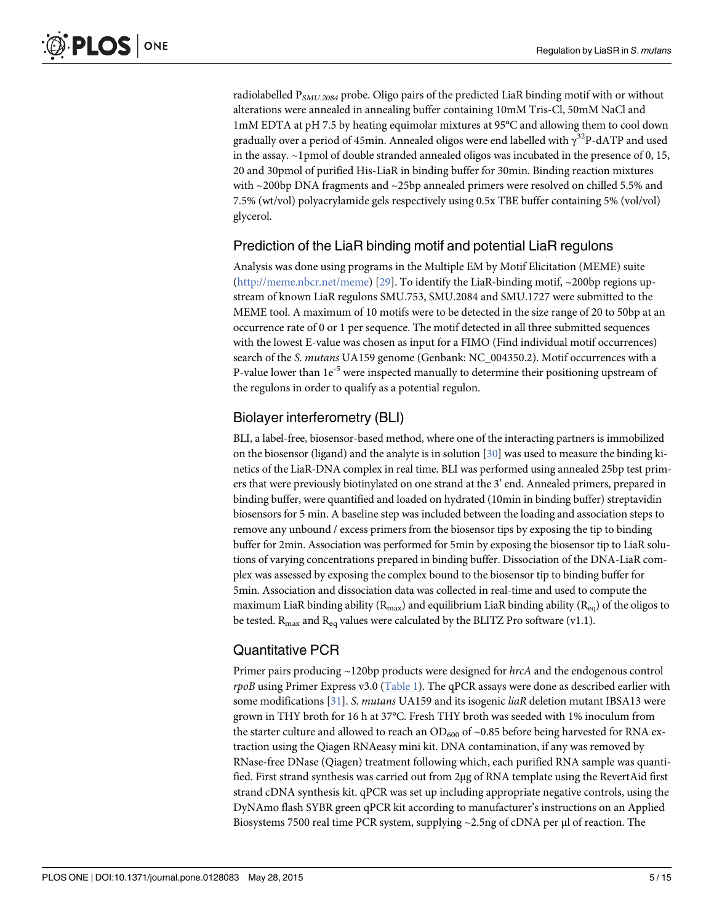radiolabelled  $P_{SMU,2084}$  probe. Oligo pairs of the predicted LiaR binding motif with or without alterations were annealed in annealing buffer containing 10mM Tris-Cl, 50mM NaCl and 1mM EDTA at pH 7.5 by heating equimolar mixtures at 95°C and allowing them to cool down gradually over a period of 45min. Annealed oligos were end labelled with  $\gamma^{32}$ P-dATP and used in the assay.  $\sim$ 1pmol of double stranded annealed oligos was incubated in the presence of 0, 15, 20 and 30pmol of purified His-LiaR in binding buffer for 30min. Binding reaction mixtures with ~200bp DNA fragments and ~25bp annealed primers were resolved on chilled 5.5% and 7.5% (wt/vol) polyacrylamide gels respectively using 0.5x TBE buffer containing 5% (vol/vol) glycerol.

## Prediction of the LiaR binding motif and potential LiaR regulons

Analysis was done using programs in the Multiple EM by Motif Elicitation (MEME) suite (http://meme.nbcr.net/meme) [29]. To identify the LiaR-binding motif, ~200bp regions upstream of known LiaR regulons SMU.753, SMU.2084 and SMU.1727 were submitted to the MEME tool. A maximum of 10 motifs were to be detected in the size range of 20 to 50bp at an occurrence rate of 0 or 1 per sequence. The motif detected in all three submitted sequences with the lowest E-value was chosen as input for a FIMO (Find individual motif occurrences) search of the S. mutans UA159 genome (Genbank: NC\_004350.2). Motif occurrences with a P-value lower than  $1e^{-5}$  were inspected manually to determine their positioning upstream of the regulons in order to qualify as a potential regulon.

#### Biolayer interferometry (BLI)

BLI, a label-free, biosensor-based method, where one of the interacting partners is immobilized on the biosensor (ligand) and the analyte is in solution  $[30]$  was used to measure the binding kinetics of the LiaR-DNA complex in real time. BLI was performed using annealed 25bp test primers that were previously biotinylated on one strand at the 3' end. Annealed primers, prepared in binding buffer, were quantified and loaded on hydrated (10min in binding buffer) streptavidin biosensors for 5 min. A baseline step was included between the loading and association steps to remove any unbound / excess primers from the biosensor tips by exposing the tip to binding buffer for 2min. Association was performed for 5min by exposing the biosensor tip to LiaR solutions of varying concentrations prepared in binding buffer. Dissociation of the DNA-LiaR complex was assessed by exposing the complex bound to the biosensor tip to binding buffer for 5min. Association and dissociation data was collected in real-time and used to compute the maximum LiaR binding ability ( $R_{\text{max}}$ ) and equilibrium LiaR binding ability ( $R_{\text{eq}}$ ) of the oligos to be tested.  $R_{\text{max}}$  and  $R_{\text{eq}}$  values were calculated by the BLITZ Pro software (v1.1).

# Quantitative PCR

Primer pairs producing ~120bp products were designed for hrcA and the endogenous control  $rpoB$  using Primer Express v3.0 (Table 1). The qPCR assays were done as described earlier with some modifications [31]. S. *mutans* UA159 and its isogenic *liaR* deletion mutant IBSA13 were grown in THY broth for 16 h at 37°C. Fresh THY broth was seeded with 1% inoculum from the starter culture and allowed to reach an  $OD_{600}$  of ~0.85 before being harvested for RNA extraction using the Qiagen RNAeasy mini kit. DNA contamination, if any was removed by RNase-free DNase (Qiagen) treatment following which, each purified RNA sample was quantified. First strand synthesis was carried out from 2μg of RNA template using the RevertAid first strand cDNA synthesis kit. qPCR was set up including appropriate negative controls, using the DyNAmo flash SYBR green qPCR kit according to manufacturer's instructions on an Applied Biosystems 7500 real time PCR system, supplying ~2.5ng of cDNA per μl of reaction. The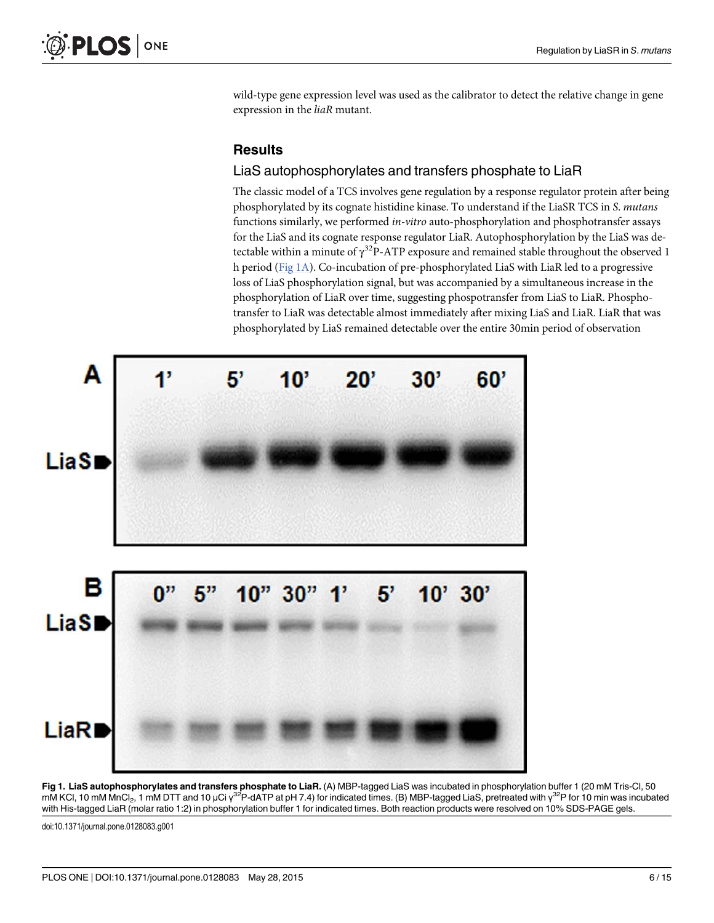wild-type gene expression level was used as the calibrator to detect the relative change in gene expression in the liaR mutant.

#### **Results**

#### LiaS autophosphorylates and transfers phosphate to LiaR

The classic model of a TCS involves gene regulation by a response regulator protein after being phosphorylated by its cognate histidine kinase. To understand if the LiaSR TCS in S. mutans functions similarly, we performed in-vitro auto-phosphorylation and phosphotransfer assays for the LiaS and its cognate response regulator LiaR. Autophosphorylation by the LiaS was detectable within a minute of  $\gamma^{32}$ P-ATP exposure and remained stable throughout the observed 1 h period (Fig 1A). Co-incubation of pre-phosphorylated LiaS with LiaR led to a progressive loss of LiaS phosphorylation signal, but was accompanied by a simultaneous increase in the phosphorylation of LiaR over time, suggesting phospotransfer from LiaS to LiaR. Phosphotransfer to LiaR was detectable almost immediately after mixing LiaS and LiaR. LiaR that was phosphorylated by LiaS remained detectable over the entire 30min period of observation



Fig 1. LiaS autophosphorylates and transfers phosphate to LiaR. (A) MBP-tagged LiaS was incubated in phosphorylation buffer 1 (20 mM Tris-Cl, 50 mM KCl, 10 mM MnCl<sub>2</sub>, 1 mM DTT and 10 μCi γ<sup>32</sup>P-dATP at pH 7.4) for indicated times. (B) MBP-tagged LiaS, pretreated with γ<sup>32</sup>P for 10 min was incubated with His-tagged LiaR (molar ratio 1:2) in phosphorylation buffer 1 for indicated times. Both reaction products were resolved on 10% SDS-PAGE gels.

doi:10.1371/journal.pone.0128083.g001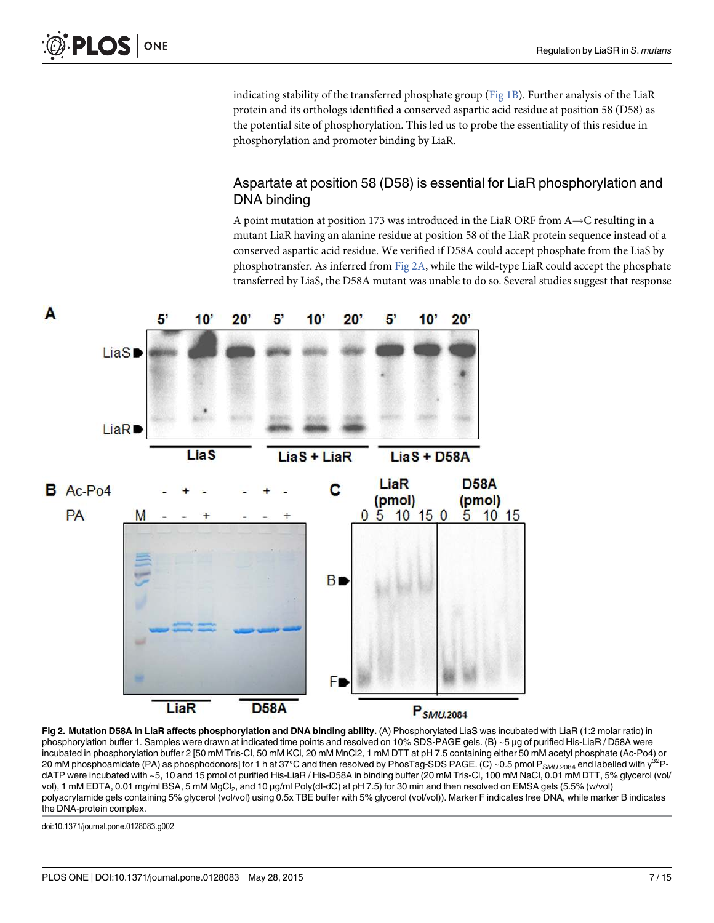indicating stability of the transferred phosphate group ( $Fig 1B$ ). Further analysis of the LiaR protein and its orthologs identified a conserved aspartic acid residue at position 58 (D58) as the potential site of phosphorylation. This led us to probe the essentiality of this residue in phosphorylation and promoter binding by LiaR.

## Aspartate at position 58 (D58) is essential for LiaR phosphorylation and DNA binding

A point mutation at position 173 was introduced in the LiaR ORF from  $A \rightarrow C$  resulting in a mutant LiaR having an alanine residue at position 58 of the LiaR protein sequence instead of a conserved aspartic acid residue. We verified if D58A could accept phosphate from the LiaS by phosphotransfer. As inferred from  $Fig 2A$ , while the wild-type LiaR could accept the phosphate transferred by LiaS, the D58A mutant was unable to do so. Several studies suggest that response



Fig 2. Mutation D58A in LiaR affects phosphorylation and DNA binding ability. (A) Phosphorylated LiaS was incubated with LiaR (1:2 molar ratio) in phosphorylation buffer 1. Samples were drawn at indicated time points and resolved on 10% SDS-PAGE gels. (B) ~5 μg of purified His-LiaR / D58A were incubated in phosphorylation buffer 2 [50 mM Tris-Cl, 50 mM KCl, 20 mM MnCl2, 1 mM DTT at pH 7.5 containing either 50 mM acetyl phosphate (Ac-Po4) or 20 mM phosphoamidate (PA) as phosphodonors] for 1 h at 37°C and then resolved by PhosTag-SDS PAGE. (C) ~0.5 pmol P $_{SMU.2084}$  end labelled with  $\gamma^{32}$ PdATP were incubated with ~5, 10 and 15 pmol of purified His-LiaR / His-D58A in binding buffer (20 mM Tris-Cl, 100 mM NaCl, 0.01 mM DTT, 5% glycerol (vol/ vol), 1 mM EDTA, 0.01 mg/ml BSA, 5 mM MgCl<sub>2</sub>, and 10 µg/ml Poly(dI-dC) at pH 7.5) for 30 min and then resolved on EMSA gels (5.5% (w/vol) polyacrylamide gels containing 5% glycerol (vol/vol) using 0.5x TBE buffer with 5% glycerol (vol/vol)). Marker F indicates free DNA, while marker B indicates the DNA-protein complex.

doi:10.1371/journal.pone.0128083.g002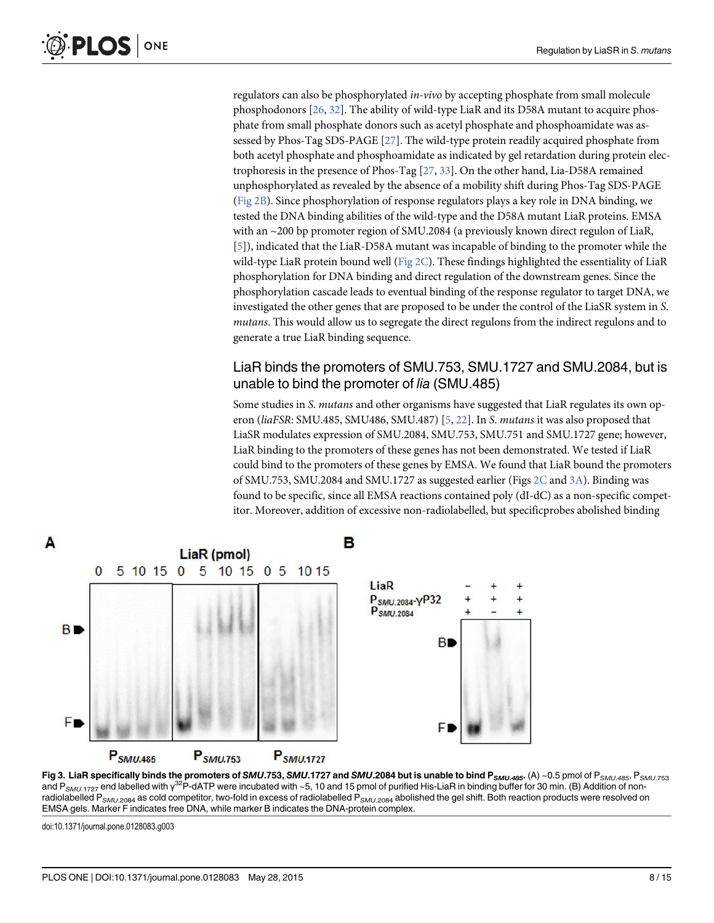regulators can also be phosphorylated in-vivo by accepting phosphate from small molecule phosphodonors [26, 32]. The ability of wild-type LiaR and its D58A mutant to acquire phosphate from small phosphate donors such as acetyl phosphate and phosphoamidate was assessed by Phos-Tag SDS-PAGE [27]. The wild-type protein readily acquired phosphate from both acetyl phosphate and phosphoamidate as indicated by gel retardation during protein electrophoresis in the presence of Phos-Tag  $[27, 33]$ . On the other hand, Lia-D58A remained unphosphorylated as revealed by the absence of a mobility shift during Phos-Tag SDS-PAGE (Fig 2B). Since phosphorylation of response regulators plays a key role in DNA binding, we tested the DNA binding abilities of the wild-type and the D58A mutant LiaR proteins. EMSA with an ~200 bp promoter region of SMU.2084 (a previously known direct regulon of LiaR, [5]), indicated that the LiaR-D58A mutant was incapable of binding to the promoter while the wild-type LiaR protein bound well ( $Fig 2C$ ). These findings highlighted the essentiality of LiaR phosphorylation for DNA binding and direct regulation of the downstream genes. Since the phosphorylation cascade leads to eventual binding of the response regulator to target DNA, we investigated the other genes that are proposed to be under the control of the LiaSR system in S. mutans. This would allow us to segregate the direct regulons from the indirect regulons and to generate a true LiaR binding sequence.

#### LiaR binds the promoters of SMU.753, SMU.1727 and SMU.2084, but is unable to bind the promoter of lia (SMU.485)

Some studies in S. mutans and other organisms have suggested that LiaR regulates its own operon (liaFSR: SMU.485, SMU.486, SMU.487) [5, 22]. In S. mutans it was also proposed that LiaSR modulates expression of SMU.2084, SMU.753, SMU.751 and SMU.1727 gene; however, LiaR binding to the promoters of these genes has not been demonstrated. We tested if LiaR could bind to the promoters of these genes by EMSA. We found that LiaR bound the promoters of SMU.753, SMU.2084 and SMU.1727 as suggested earlier (Figs 2C and 3A). Binding was found to be specific, since all EMSA reactions contained poly (dI-dC) as a non-specific competitor. Moreover, addition of excessive non-radiolabelled, but specificprobes abolished binding





doi:10.1371/journal.pone.0128083.g003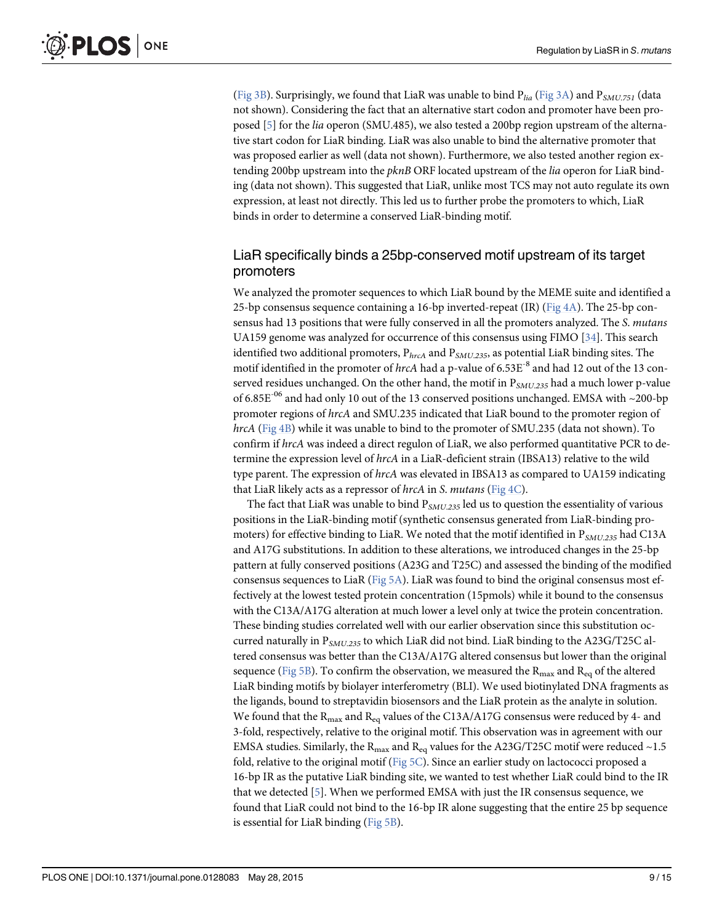(Fig 3B). Surprisingly, we found that LiaR was unable to bind  $P_{lia}$  (Fig 3A) and  $P_{SMU,751}$  (data not shown). Considering the fact that an alternative start codon and promoter have been proposed [5] for the lia operon (SMU.485), we also tested a 200bp region upstream of the alternative start codon for LiaR binding. LiaR was also unable to bind the alternative promoter that was proposed earlier as well (data not shown). Furthermore, we also tested another region extending 200bp upstream into the  $pknB$  ORF located upstream of the *lia* operon for LiaR binding (data not shown). This suggested that LiaR, unlike most TCS may not auto regulate its own expression, at least not directly. This led us to further probe the promoters to which, LiaR binds in order to determine a conserved LiaR-binding motif.

#### LiaR specifically binds a 25bp-conserved motif upstream of its target promoters

We analyzed the promoter sequences to which LiaR bound by the MEME suite and identified a 25-bp consensus sequence containing a 16-bp inverted-repeat (IR) ( $Fig 4A$ ). The 25-bp consensus had 13 positions that were fully conserved in all the promoters analyzed. The S. mutans UA159 genome was analyzed for occurrence of this consensus using FIMO [34]. This search identified two additional promoters,  $P_{hrcA}$  and  $P_{SMU,235}$ , as potential LiaR binding sites. The motif identified in the promoter of hrcA had a p-value of 6.53E<sup>-8</sup> and had 12 out of the 13 conserved residues unchanged. On the other hand, the motif in  $P_{SMU,235}$  had a much lower p-value of 6.85E<sup>-06</sup> and had only 10 out of the 13 conserved positions unchanged. EMSA with ~200-bp promoter regions of hrcA and SMU.235 indicated that LiaR bound to the promoter region of hrcA (Fig 4B) while it was unable to bind to the promoter of SMU.235 (data not shown). To confirm if hrcA was indeed a direct regulon of LiaR, we also performed quantitative PCR to determine the expression level of hrcA in a LiaR-deficient strain (IBSA13) relative to the wild type parent. The expression of hrcA was elevated in IBSA13 as compared to UA159 indicating that LiaR likely acts as a repressor of  $hrcA$  in S. mutans (Fig 4C).

The fact that LiaR was unable to bind  $P_{SMU,235}$  led us to question the essentiality of various positions in the LiaR-binding motif (synthetic consensus generated from LiaR-binding promoters) for effective binding to LiaR. We noted that the motif identified in  $P_{SMU,235}$  had C13A and A17G substitutions. In addition to these alterations, we introduced changes in the 25-bp pattern at fully conserved positions (A23G and T25C) and assessed the binding of the modified consensus sequences to LiaR ( $Fig 5A$ ). LiaR was found to bind the original consensus most effectively at the lowest tested protein concentration (15pmols) while it bound to the consensus with the C13A/A17G alteration at much lower a level only at twice the protein concentration. These binding studies correlated well with our earlier observation since this substitution occurred naturally in  $P_{SMU.235}$  to which LiaR did not bind. LiaR binding to the A23G/T25C altered consensus was better than the C13A/A17G altered consensus but lower than the original sequence (Fig 5B). To confirm the observation, we measured the  $R_{\text{max}}$  and  $R_{\text{eq}}$  of the altered LiaR binding motifs by biolayer interferometry (BLI). We used biotinylated DNA fragments as the ligands, bound to streptavidin biosensors and the LiaR protein as the analyte in solution. We found that the  $R_{max}$  and  $R_{eq}$  values of the C13A/A17G consensus were reduced by 4- and 3-fold, respectively, relative to the original motif. This observation was in agreement with our EMSA studies. Similarly, the  $R_{\text{max}}$  and  $R_{\text{eq}}$  values for the A23G/T25C motif were reduced ~1.5 fold, relative to the original motif (Fig  $5C$ ). Since an earlier study on lactococci proposed a 16-bp IR as the putative LiaR binding site, we wanted to test whether LiaR could bind to the IR that we detected [5]. When we performed EMSA with just the IR consensus sequence, we found that LiaR could not bind to the 16-bp IR alone suggesting that the entire 25 bp sequence is essential for LiaR binding (Fig 5B).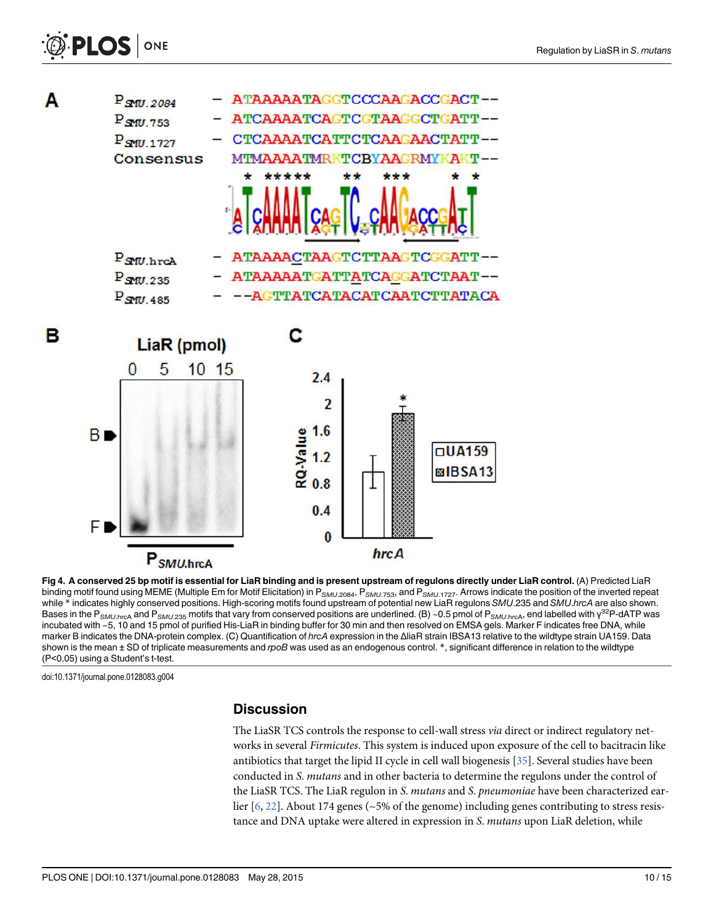



Fig 4. A conserved 25 bp motif is essential for LiaR binding and is present upstream of regulons directly under LiaR control. (A) Predicted LiaR binding motif found using MEME (Multiple Em for Motif Elicitation) in P<sub>SMU.2084</sub>, P<sub>SMU.753</sub>, and P<sub>SMU.1727</sub>. Arrows indicate the position of the inverted repeat while \* indicates highly conserved positions. High-scoring motifs found upstream of potential new LiaR regulons SMU.235 and SMU.hrcA are also shown. Bases in the P<sub>SMU.hrcA</sub> and P<sub>SMU.235</sub> motifs that vary from conserved positions are underlined. (B) ~0.5 pmol of P<sub>SMU.hrcA</sub>, end labelled with γ<sup>32</sup>P-dATP was incubated with ~5, 10 and 15 pmol of purified His-LiaR in binding buffer for 30 min and then resolved on EMSA gels. Marker F indicates free DNA, while marker B indicates the DNA-protein complex. (C) Quantification of hrcA expression in the ΔliaR strain IBSA13 relative to the wildtype strain UA159. Data shown is the mean ± SD of triplicate measurements and rpoB was used as an endogenous control. \*, significant difference in relation to the wildtype (P<0.05) using a Student's t-test.

hrcA

doi:10.1371/journal.pone.0128083.g004

#### **Discussion**

The LiaSR TCS controls the response to cell-wall stress via direct or indirect regulatory networks in several Firmicutes. This system is induced upon exposure of the cell to bacitracin like antibiotics that target the lipid II cycle in cell wall biogenesis [35]. Several studies have been conducted in S. mutans and in other bacteria to determine the regulons under the control of the LiaSR TCS. The LiaR regulon in S. mutans and S. pneumoniae have been characterized earlier [6, 22]. About 174 genes (~5% of the genome) including genes contributing to stress resistance and DNA uptake were altered in expression in S. mutans upon LiaR deletion, while

P<sub>SMU.hrcA</sub>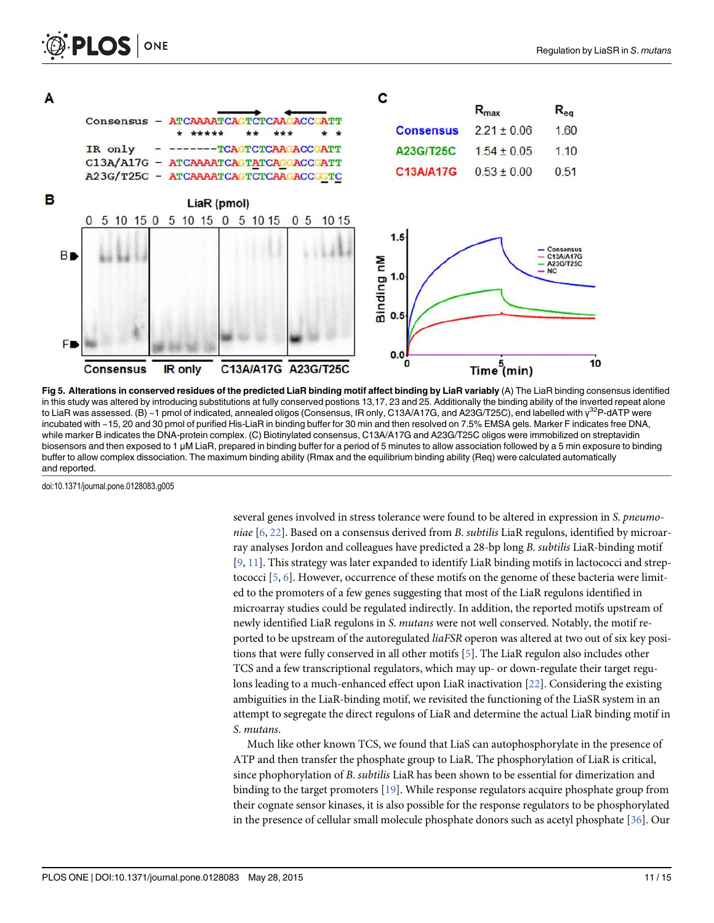

Fig 5. Alterations in conserved residues of the predicted LiaR binding motif affect binding by LiaR variably (A) The LiaR binding consensus identified in this study was altered by introducing substitutions at fully conserved postions 13,17, 23 and 25. Additionally the binding ability of the inverted repeat alone to LiaR was assessed. (B) ~1 pmol of indicated, annealed oligos (Consensus, IR only, C13A/A17G, and A23G/T25C), end labelled with γ<sup>32</sup>P-dATP were incubated with ~15, 20 and 30 pmol of purified His-LiaR in binding buffer for 30 min and then resolved on 7.5% EMSA gels. Marker F indicates free DNA, while marker B indicates the DNA-protein complex. (C) Biotinylated consensus, C13A/A17G and A23G/T25C oligos were immobilized on streptavidin biosensors and then exposed to 1 μM LiaR, prepared in binding buffer for a period of 5 minutes to allow association followed by a 5 min exposure to binding buffer to allow complex dissociation. The maximum binding ability (Rmax and the equilibrium binding ability (Req) were calculated automatically and reported.

doi:10.1371/journal.pone.0128083.g005

**PLOS I** 

ONE

several genes involved in stress tolerance were found to be altered in expression in S. pneumoniae  $[6, 22]$ . Based on a consensus derived from B. subtilis LiaR regulons, identified by microarray analyses Jordon and colleagues have predicted a 28-bp long B. subtilis LiaR-binding motif [9, 11]. This strategy was later expanded to identify LiaR binding motifs in lactococci and streptococci  $[5, 6]$ . However, occurrence of these motifs on the genome of these bacteria were limited to the promoters of a few genes suggesting that most of the LiaR regulons identified in microarray studies could be regulated indirectly. In addition, the reported motifs upstream of newly identified LiaR regulons in S. mutans were not well conserved. Notably, the motif reported to be upstream of the autoregulated liaFSR operon was altered at two out of six key positions that were fully conserved in all other motifs [5]. The LiaR regulon also includes other TCS and a few transcriptional regulators, which may up- or down-regulate their target regulons leading to a much-enhanced effect upon LiaR inactivation [22]. Considering the existing ambiguities in the LiaR-binding motif, we revisited the functioning of the LiaSR system in an attempt to segregate the direct regulons of LiaR and determine the actual LiaR binding motif in S. mutans.

Much like other known TCS, we found that LiaS can autophosphorylate in the presence of ATP and then transfer the phosphate group to LiaR. The phosphorylation of LiaR is critical, since phophorylation of B. subtilis LiaR has been shown to be essential for dimerization and binding to the target promoters [19]. While response regulators acquire phosphate group from their cognate sensor kinases, it is also possible for the response regulators to be phosphorylated in the presence of cellular small molecule phosphate donors such as acetyl phosphate [36]. Our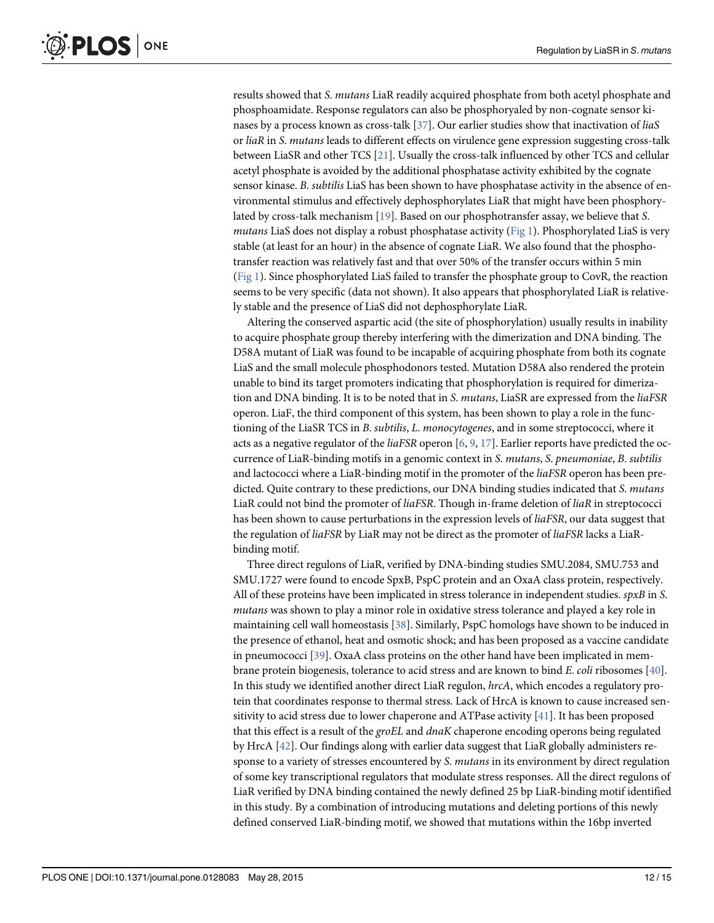results showed that S. mutans LiaR readily acquired phosphate from both acetyl phosphate and phosphoamidate. Response regulators can also be phosphoryaled by non-cognate sensor kinases by a process known as cross-talk [37]. Our earlier studies show that inactivation of liaS or liaR in S. mutans leads to different effects on virulence gene expression suggesting cross-talk between LiaSR and other TCS [21]. Usually the cross-talk influenced by other TCS and cellular acetyl phosphate is avoided by the additional phosphatase activity exhibited by the cognate sensor kinase. B. subtilis LiaS has been shown to have phosphatase activity in the absence of environmental stimulus and effectively dephosphorylates LiaR that might have been phosphorylated by cross-talk mechanism [19]. Based on our phosphotransfer assay, we believe that S. mutans LiaS does not display a robust phosphatase activity ( $Fig 1$ ). Phosphorylated LiaS is very stable (at least for an hour) in the absence of cognate LiaR. We also found that the phosphotransfer reaction was relatively fast and that over 50% of the transfer occurs within 5 min (Fig 1). Since phosphorylated LiaS failed to transfer the phosphate group to CovR, the reaction seems to be very specific (data not shown). It also appears that phosphorylated LiaR is relatively stable and the presence of LiaS did not dephosphorylate LiaR.

Altering the conserved aspartic acid (the site of phosphorylation) usually results in inability to acquire phosphate group thereby interfering with the dimerization and DNA binding. The D58A mutant of LiaR was found to be incapable of acquiring phosphate from both its cognate LiaS and the small molecule phosphodonors tested. Mutation D58A also rendered the protein unable to bind its target promoters indicating that phosphorylation is required for dimerization and DNA binding. It is to be noted that in S. mutans, LiaSR are expressed from the liaFSR operon. LiaF, the third component of this system, has been shown to play a role in the functioning of the LiaSR TCS in B. subtilis, L. monocytogenes, and in some streptococci, where it acts as a negative regulator of the *liaFSR* operon [6, 9, 17]. Earlier reports have predicted the occurrence of LiaR-binding motifs in a genomic context in S. mutans, S. pneumoniae, B. subtilis and lactococci where a LiaR-binding motif in the promoter of the *liaFSR* operon has been predicted. Quite contrary to these predictions, our DNA binding studies indicated that S. mutans LiaR could not bind the promoter of *liaFSR*. Though in-frame deletion of *liaR* in streptococci has been shown to cause perturbations in the expression levels of *liaFSR*, our data suggest that the regulation of *liaFSR* by LiaR may not be direct as the promoter of *liaFSR* lacks a LiaRbinding motif.

Three direct regulons of LiaR, verified by DNA-binding studies SMU.2084, SMU.753 and SMU.1727 were found to encode SpxB, PspC protein and an OxaA class protein, respectively. All of these proteins have been implicated in stress tolerance in independent studies. spxB in S. mutans was shown to play a minor role in oxidative stress tolerance and played a key role in maintaining cell wall homeostasis [38]. Similarly, PspC homologs have shown to be induced in the presence of ethanol, heat and osmotic shock; and has been proposed as a vaccine candidate in pneumococci [39]. OxaA class proteins on the other hand have been implicated in membrane protein biogenesis, tolerance to acid stress and are known to bind E. coli ribosomes [40]. In this study we identified another direct LiaR regulon, hrcA, which encodes a regulatory protein that coordinates response to thermal stress. Lack of HrcA is known to cause increased sensitivity to acid stress due to lower chaperone and ATPase activity [41]. It has been proposed that this effect is a result of the groEL and dnaK chaperone encoding operons being regulated by HrcA [42]. Our findings along with earlier data suggest that LiaR globally administers response to a variety of stresses encountered by S. mutans in its environment by direct regulation of some key transcriptional regulators that modulate stress responses. All the direct regulons of LiaR verified by DNA binding contained the newly defined 25 bp LiaR-binding motif identified in this study. By a combination of introducing mutations and deleting portions of this newly defined conserved LiaR-binding motif, we showed that mutations within the 16bp inverted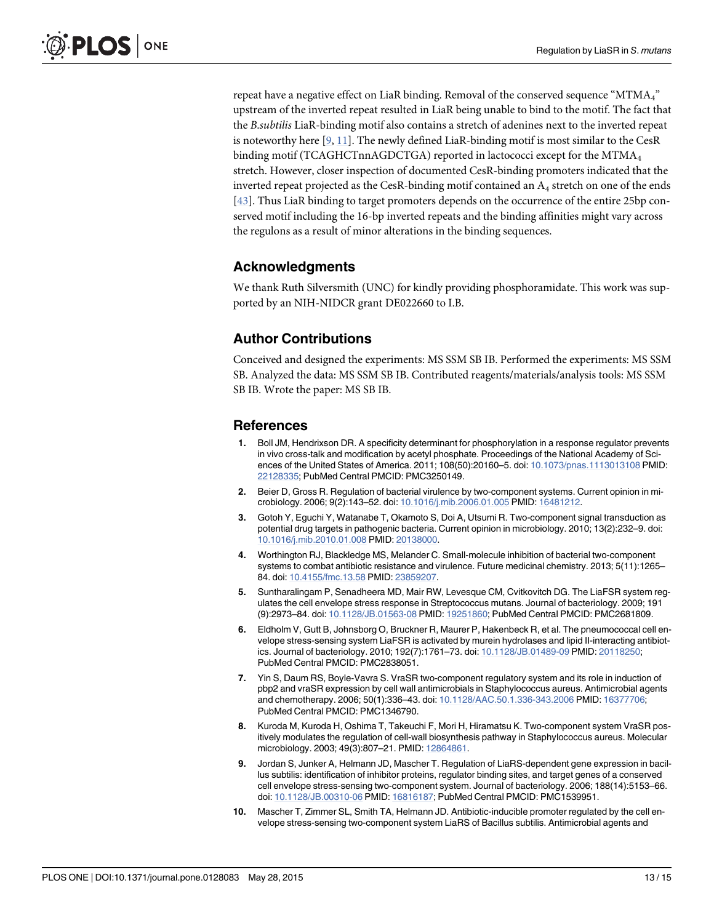repeat have a negative effect on LiaR binding. Removal of the conserved sequence "MTMA4" upstream of the inverted repeat resulted in LiaR being unable to bind to the motif. The fact that the B.subtilis LiaR-binding motif also contains a stretch of adenines next to the inverted repeat is noteworthy here  $[9, 11]$ . The newly defined LiaR-binding motif is most similar to the CesR binding motif (TCAGHCTnnAGDCTGA) reported in lactococci except for the MTM $A_4$ stretch. However, closer inspection of documented CesR-binding promoters indicated that the inverted repeat projected as the CesR-binding motif contained an A<sub>4</sub> stretch on one of the ends [43]. Thus LiaR binding to target promoters depends on the occurrence of the entire 25bp conserved motif including the 16-bp inverted repeats and the binding affinities might vary across the regulons as a result of minor alterations in the binding sequences.

#### Acknowledgments

We thank Ruth Silversmith (UNC) for kindly providing phosphoramidate. This work was supported by an NIH-NIDCR grant DE022660 to I.B.

#### Author Contributions

Conceived and designed the experiments: MS SSM SB IB. Performed the experiments: MS SSM SB. Analyzed the data: MS SSM SB IB. Contributed reagents/materials/analysis tools: MS SSM SB IB. Wrote the paper: MS SB IB.

#### References

- 1. Boll JM, Hendrixson DR. A specificity determinant for phosphorylation in a response regulator prevents in vivo cross-talk and modification by acetyl phosphate. Proceedings of the National Academy of Sciences of the United States of America. 2011; 108(50):20160–5. doi: 10.1073/pnas.1113013108 PMID: 22128335; PubMed Central PMCID: PMC3250149.
- 2. Beier D, Gross R. Regulation of bacterial virulence by two-component systems. Current opinion in microbiology. 2006; 9(2):143–52. doi: 10.1016/j.mib.2006.01.005 PMID: 16481212.
- 3. Gotoh Y, Eguchi Y, Watanabe T, Okamoto S, Doi A, Utsumi R. Two-component signal transduction as potential drug targets in pathogenic bacteria. Current opinion in microbiology. 2010; 13(2):232–9. doi: 10.1016/j.mib.2010.01.008 PMID: 20138000.
- 4. Worthington RJ, Blackledge MS, Melander C. Small-molecule inhibition of bacterial two-component systems to combat antibiotic resistance and virulence. Future medicinal chemistry. 2013; 5(11):1265– 84. doi: 10.4155/fmc.13.58 PMID: 23859207.
- 5. Suntharalingam P, Senadheera MD, Mair RW, Levesque CM, Cvitkovitch DG. The LiaFSR system regulates the cell envelope stress response in Streptococcus mutans. Journal of bacteriology. 2009; 191 (9):2973–84. doi: 10.1128/JB.01563-08 PMID: 19251860; PubMed Central PMCID: PMC2681809.
- 6. Eldholm V, Gutt B, Johnsborg O, Bruckner R, Maurer P, Hakenbeck R, et al. The pneumococcal cell envelope stress-sensing system LiaFSR is activated by murein hydrolases and lipid II-interacting antibiotics. Journal of bacteriology. 2010; 192(7):1761–73. doi: 10.1128/JB.01489-09 PMID: 20118250; PubMed Central PMCID: PMC2838051.
- 7. Yin S, Daum RS, Boyle-Vavra S. VraSR two-component regulatory system and its role in induction of pbp2 and vraSR expression by cell wall antimicrobials in Staphylococcus aureus. Antimicrobial agents and chemotherapy. 2006; 50(1):336–43. doi: 10.1128/AAC.50.1.336-343.2006 PMID: 16377706; PubMed Central PMCID: PMC1346790.
- 8. Kuroda M, Kuroda H, Oshima T, Takeuchi F, Mori H, Hiramatsu K. Two-component system VraSR positively modulates the regulation of cell-wall biosynthesis pathway in Staphylococcus aureus. Molecular microbiology. 2003; 49(3):807–21. PMID: 12864861.
- 9. Jordan S, Junker A, Helmann JD, Mascher T. Regulation of LiaRS-dependent gene expression in bacillus subtilis: identification of inhibitor proteins, regulator binding sites, and target genes of a conserved cell envelope stress-sensing two-component system. Journal of bacteriology. 2006; 188(14):5153–66. doi: 10.1128/JB.00310-06 PMID: 16816187; PubMed Central PMCID: PMC1539951.
- 10. Mascher T, Zimmer SL, Smith TA, Helmann JD. Antibiotic-inducible promoter regulated by the cell envelope stress-sensing two-component system LiaRS of Bacillus subtilis. Antimicrobial agents and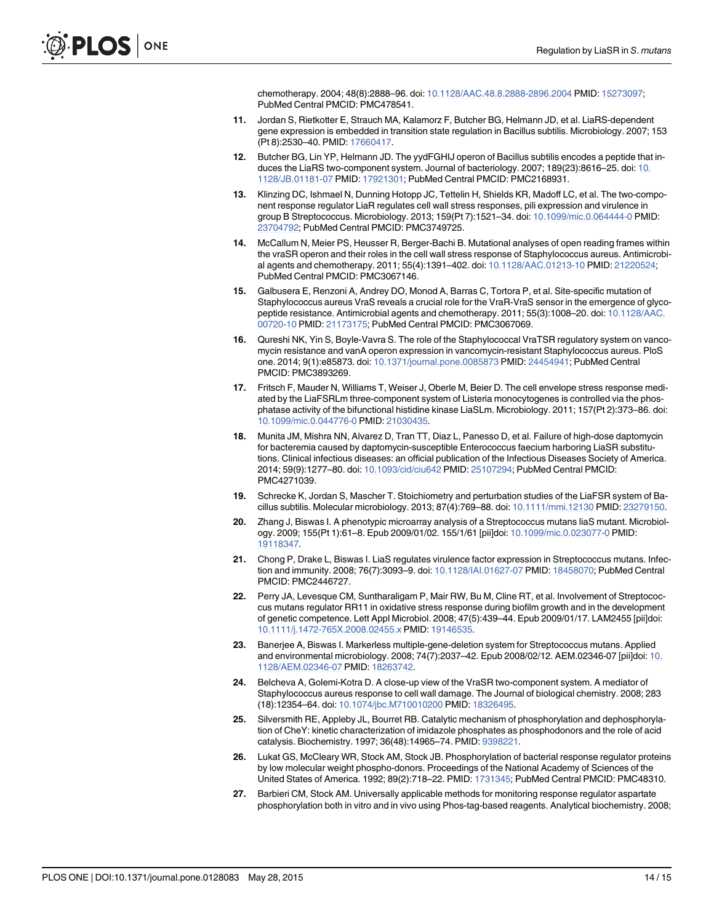chemotherapy. 2004; 48(8):2888–96. doi: 10.1128/AAC.48.8.2888-2896.2004 PMID: 15273097; PubMed Central PMCID: PMC478541.

- 11. Jordan S, Rietkotter E, Strauch MA, Kalamorz F, Butcher BG, Helmann JD, et al. LiaRS-dependent gene expression is embedded in transition state regulation in Bacillus subtilis. Microbiology. 2007; 153 (Pt 8):2530–40. PMID: 17660417.
- 12. Butcher BG, Lin YP, Helmann JD. The yydFGHIJ operon of Bacillus subtilis encodes a peptide that induces the LiaRS two-component system. Journal of bacteriology. 2007; 189(23):8616–25. doi: 10. 1128/JB.01181-07 PMID: 17921301; PubMed Central PMCID: PMC2168931.
- 13. Klinzing DC, Ishmael N, Dunning Hotopp JC, Tettelin H, Shields KR, Madoff LC, et al. The two-component response regulator LiaR regulates cell wall stress responses, pili expression and virulence in group B Streptococcus. Microbiology. 2013; 159(Pt 7):1521–34. doi: 10.1099/mic.0.064444-0 PMID: 23704792; PubMed Central PMCID: PMC3749725.
- 14. McCallum N, Meier PS, Heusser R, Berger-Bachi B. Mutational analyses of open reading frames within the vraSR operon and their roles in the cell wall stress response of Staphylococcus aureus. Antimicrobial agents and chemotherapy. 2011; 55(4):1391–402. doi: 10.1128/AAC.01213-10 PMID: 21220524; PubMed Central PMCID: PMC3067146.
- 15. Galbusera E, Renzoni A, Andrey DO, Monod A, Barras C, Tortora P, et al. Site-specific mutation of Staphylococcus aureus VraS reveals a crucial role for the VraR-VraS sensor in the emergence of glycopeptide resistance. Antimicrobial agents and chemotherapy. 2011; 55(3):1008–20. doi: 10.1128/AAC. 00720-10 PMID: 21173175; PubMed Central PMCID: PMC3067069.
- 16. Qureshi NK, Yin S, Boyle-Vavra S. The role of the Staphylococcal VraTSR regulatory system on vancomycin resistance and vanA operon expression in vancomycin-resistant Staphylococcus aureus. PloS one. 2014; 9(1):e85873. doi: 10.1371/journal.pone.0085873 PMID: 24454941; PubMed Central PMCID: PMC3893269.
- 17. Fritsch F, Mauder N, Williams T, Weiser J, Oberle M, Beier D. The cell envelope stress response mediated by the LiaFSRLm three-component system of Listeria monocytogenes is controlled via the phosphatase activity of the bifunctional histidine kinase LiaSLm. Microbiology. 2011; 157(Pt 2):373–86. doi: 10.1099/mic.0.044776-0 PMID: 21030435.
- 18. Munita JM, Mishra NN, Alvarez D, Tran TT, Diaz L, Panesso D, et al. Failure of high-dose daptomycin for bacteremia caused by daptomycin-susceptible Enterococcus faecium harboring LiaSR substitutions. Clinical infectious diseases: an official publication of the Infectious Diseases Society of America. 2014; 59(9):1277–80. doi: 10.1093/cid/ciu642 PMID: 25107294; PubMed Central PMCID: PMC4271039.
- 19. Schrecke K, Jordan S, Mascher T. Stoichiometry and perturbation studies of the LiaFSR system of Bacillus subtilis. Molecular microbiology. 2013; 87(4):769–88. doi: 10.1111/mmi.12130 PMID: 23279150.
- 20. Zhang J, Biswas I. A phenotypic microarray analysis of a Streptococcus mutans liaS mutant. Microbiology. 2009; 155(Pt 1):61–8. Epub 2009/01/02. 155/1/61 [pii]doi: 10.1099/mic.0.023077-0 PMID: 19118347.
- 21. Chong P, Drake L, Biswas I. LiaS regulates virulence factor expression in Streptococcus mutans. Infection and immunity. 2008; 76(7):3093–9. doi: 10.1128/IAI.01627-07 PMID: 18458070; PubMed Central PMCID: PMC2446727.
- 22. Perry JA, Levesque CM, Suntharaligam P, Mair RW, Bu M, Cline RT, et al. Involvement of Streptococcus mutans regulator RR11 in oxidative stress response during biofilm growth and in the development of genetic competence. Lett Appl Microbiol. 2008; 47(5):439–44. Epub 2009/01/17. LAM2455 [pii]doi: 10.1111/j.1472-765X.2008.02455.x PMID: 19146535.
- 23. Banerjee A, Biswas I. Markerless multiple-gene-deletion system for Streptococcus mutans. Applied and environmental microbiology. 2008; 74(7):2037–42. Epub 2008/02/12. AEM.02346-07 [pii]doi: 10. 1128/AEM.02346-07 PMID: 18263742.
- 24. Belcheva A, Golemi-Kotra D. A close-up view of the VraSR two-component system. A mediator of Staphylococcus aureus response to cell wall damage. The Journal of biological chemistry. 2008; 283 (18):12354–64. doi: 10.1074/jbc.M710010200 PMID: 18326495.
- 25. Silversmith RE, Appleby JL, Bourret RB. Catalytic mechanism of phosphorylation and dephosphorylation of CheY: kinetic characterization of imidazole phosphates as phosphodonors and the role of acid catalysis. Biochemistry. 1997; 36(48):14965–74. PMID: 9398221.
- 26. Lukat GS, McCleary WR, Stock AM, Stock JB. Phosphorylation of bacterial response regulator proteins by low molecular weight phospho-donors. Proceedings of the National Academy of Sciences of the United States of America. 1992; 89(2):718–22. PMID: 1731345; PubMed Central PMCID: PMC48310.
- 27. Barbieri CM, Stock AM. Universally applicable methods for monitoring response regulator aspartate phosphorylation both in vitro and in vivo using Phos-tag-based reagents. Analytical biochemistry. 2008;